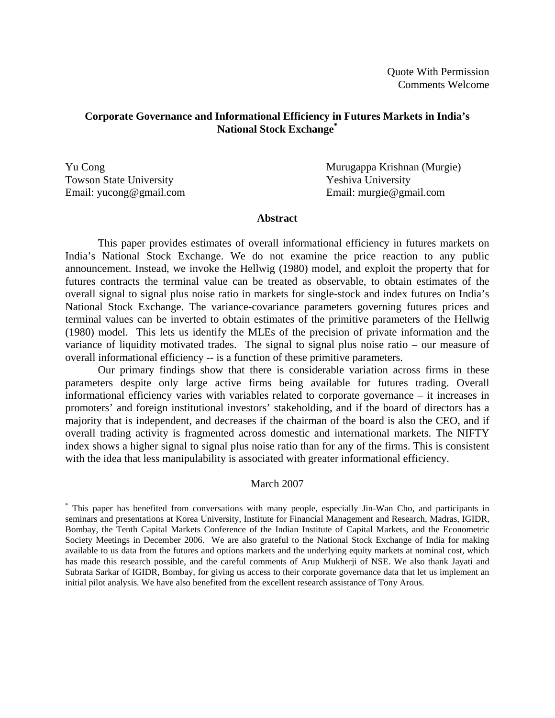## **Corporate Governance and Informational Efficiency in Futures Markets in India's National Stock Exchange\***

Towson State University Yeshiva University

Yu Cong **Murugappa Krishnan** (Murgie) Email: yucong@gmail.com Email: murgie@gmail.com

#### **Abstract**

 This paper provides estimates of overall informational efficiency in futures markets on India's National Stock Exchange. We do not examine the price reaction to any public announcement. Instead, we invoke the Hellwig (1980) model, and exploit the property that for futures contracts the terminal value can be treated as observable, to obtain estimates of the overall signal to signal plus noise ratio in markets for single-stock and index futures on India's National Stock Exchange. The variance-covariance parameters governing futures prices and terminal values can be inverted to obtain estimates of the primitive parameters of the Hellwig (1980) model. This lets us identify the MLEs of the precision of private information and the variance of liquidity motivated trades. The signal to signal plus noise ratio – our measure of overall informational efficiency -- is a function of these primitive parameters.

 Our primary findings show that there is considerable variation across firms in these parameters despite only large active firms being available for futures trading. Overall informational efficiency varies with variables related to corporate governance – it increases in promoters' and foreign institutional investors' stakeholding, and if the board of directors has a majority that is independent, and decreases if the chairman of the board is also the CEO, and if overall trading activity is fragmented across domestic and international markets. The NIFTY index shows a higher signal to signal plus noise ratio than for any of the firms. This is consistent with the idea that less manipulability is associated with greater informational efficiency.

### March 2007

\* This paper has benefited from conversations with many people, especially Jin-Wan Cho, and participants in seminars and presentations at Korea University, Institute for Financial Management and Research, Madras, IGIDR, Bombay, the Tenth Capital Markets Conference of the Indian Institute of Capital Markets, and the Econometric Society Meetings in December 2006. We are also grateful to the National Stock Exchange of India for making available to us data from the futures and options markets and the underlying equity markets at nominal cost, which has made this research possible, and the careful comments of Arup Mukherji of NSE. We also thank Jayati and Subrata Sarkar of IGIDR, Bombay, for giving us access to their corporate governance data that let us implement an initial pilot analysis. We have also benefited from the excellent research assistance of Tony Arous.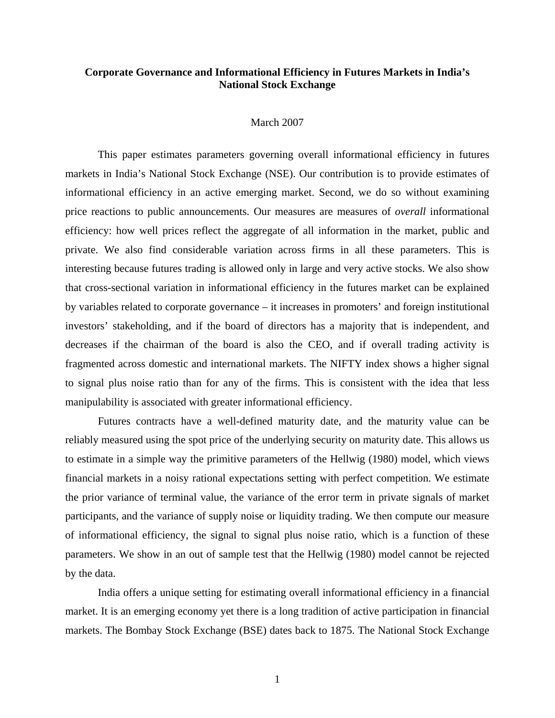## **Corporate Governance and Informational Efficiency in Futures Markets in India's National Stock Exchange**

#### March 2007

 This paper estimates parameters governing overall informational efficiency in futures markets in India's National Stock Exchange (NSE). Our contribution is to provide estimates of informational efficiency in an active emerging market. Second, we do so without examining price reactions to public announcements. Our measures are measures of *overall* informational efficiency: how well prices reflect the aggregate of all information in the market, public and private. We also find considerable variation across firms in all these parameters. This is interesting because futures trading is allowed only in large and very active stocks. We also show that cross-sectional variation in informational efficiency in the futures market can be explained by variables related to corporate governance – it increases in promoters' and foreign institutional investors' stakeholding, and if the board of directors has a majority that is independent, and decreases if the chairman of the board is also the CEO, and if overall trading activity is fragmented across domestic and international markets. The NIFTY index shows a higher signal to signal plus noise ratio than for any of the firms. This is consistent with the idea that less manipulability is associated with greater informational efficiency.

 Futures contracts have a well-defined maturity date, and the maturity value can be reliably measured using the spot price of the underlying security on maturity date. This allows us to estimate in a simple way the primitive parameters of the Hellwig (1980) model, which views financial markets in a noisy rational expectations setting with perfect competition. We estimate the prior variance of terminal value, the variance of the error term in private signals of market participants, and the variance of supply noise or liquidity trading. We then compute our measure of informational efficiency, the signal to signal plus noise ratio, which is a function of these parameters. We show in an out of sample test that the Hellwig (1980) model cannot be rejected by the data.

 India offers a unique setting for estimating overall informational efficiency in a financial market. It is an emerging economy yet there is a long tradition of active participation in financial markets. The Bombay Stock Exchange (BSE) dates back to 1875. The National Stock Exchange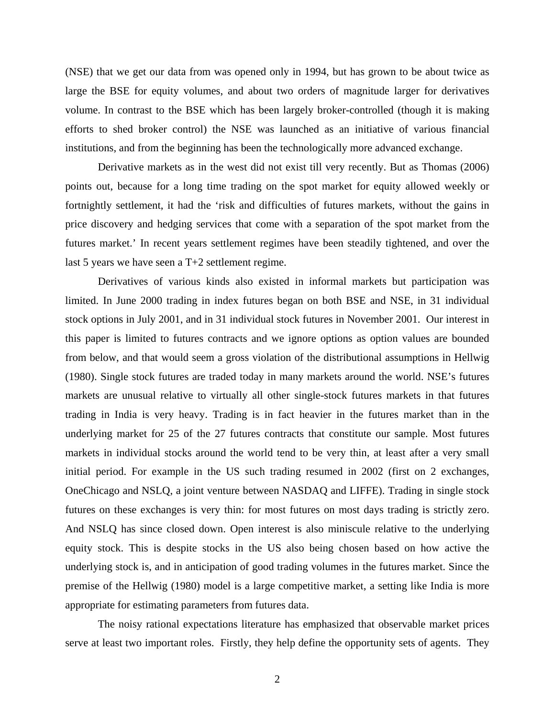(NSE) that we get our data from was opened only in 1994, but has grown to be about twice as large the BSE for equity volumes, and about two orders of magnitude larger for derivatives volume. In contrast to the BSE which has been largely broker-controlled (though it is making efforts to shed broker control) the NSE was launched as an initiative of various financial institutions, and from the beginning has been the technologically more advanced exchange.

 Derivative markets as in the west did not exist till very recently. But as Thomas (2006) points out, because for a long time trading on the spot market for equity allowed weekly or fortnightly settlement, it had the 'risk and difficulties of futures markets, without the gains in price discovery and hedging services that come with a separation of the spot market from the futures market.' In recent years settlement regimes have been steadily tightened, and over the last 5 years we have seen a T+2 settlement regime.

 Derivatives of various kinds also existed in informal markets but participation was limited. In June 2000 trading in index futures began on both BSE and NSE, in 31 individual stock options in July 2001, and in 31 individual stock futures in November 2001. Our interest in this paper is limited to futures contracts and we ignore options as option values are bounded from below, and that would seem a gross violation of the distributional assumptions in Hellwig (1980). Single stock futures are traded today in many markets around the world. NSE's futures markets are unusual relative to virtually all other single-stock futures markets in that futures trading in India is very heavy. Trading is in fact heavier in the futures market than in the underlying market for 25 of the 27 futures contracts that constitute our sample. Most futures markets in individual stocks around the world tend to be very thin, at least after a very small initial period. For example in the US such trading resumed in 2002 (first on 2 exchanges, OneChicago and NSLQ, a joint venture between NASDAQ and LIFFE). Trading in single stock futures on these exchanges is very thin: for most futures on most days trading is strictly zero. And NSLQ has since closed down. Open interest is also miniscule relative to the underlying equity stock. This is despite stocks in the US also being chosen based on how active the underlying stock is, and in anticipation of good trading volumes in the futures market. Since the premise of the Hellwig (1980) model is a large competitive market, a setting like India is more appropriate for estimating parameters from futures data.

 The noisy rational expectations literature has emphasized that observable market prices serve at least two important roles. Firstly, they help define the opportunity sets of agents. They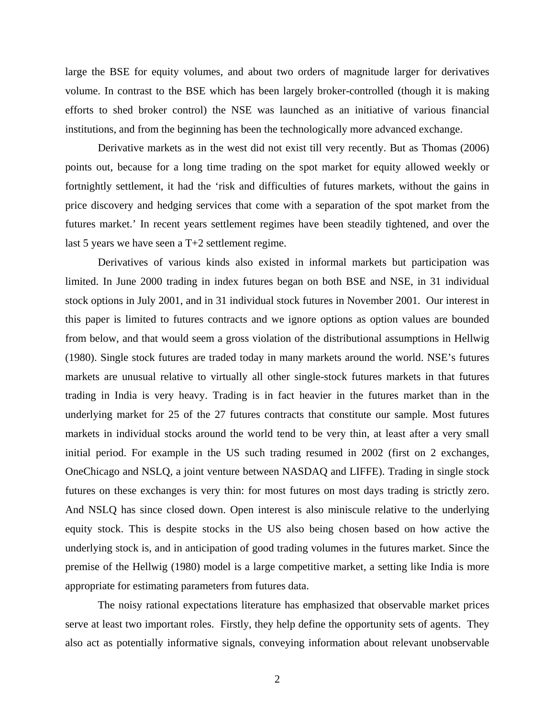large the BSE for equity volumes, and about two orders of magnitude larger for derivatives volume. In contrast to the BSE which has been largely broker-controlled (though it is making efforts to shed broker control) the NSE was launched as an initiative of various financial institutions, and from the beginning has been the technologically more advanced exchange.

 Derivative markets as in the west did not exist till very recently. But as Thomas (2006) points out, because for a long time trading on the spot market for equity allowed weekly or fortnightly settlement, it had the 'risk and difficulties of futures markets, without the gains in price discovery and hedging services that come with a separation of the spot market from the futures market.' In recent years settlement regimes have been steadily tightened, and over the last 5 years we have seen a T+2 settlement regime.

 Derivatives of various kinds also existed in informal markets but participation was limited. In June 2000 trading in index futures began on both BSE and NSE, in 31 individual stock options in July 2001, and in 31 individual stock futures in November 2001. Our interest in this paper is limited to futures contracts and we ignore options as option values are bounded from below, and that would seem a gross violation of the distributional assumptions in Hellwig (1980). Single stock futures are traded today in many markets around the world. NSE's futures markets are unusual relative to virtually all other single-stock futures markets in that futures trading in India is very heavy. Trading is in fact heavier in the futures market than in the underlying market for 25 of the 27 futures contracts that constitute our sample. Most futures markets in individual stocks around the world tend to be very thin, at least after a very small initial period. For example in the US such trading resumed in 2002 (first on 2 exchanges, OneChicago and NSLQ, a joint venture between NASDAQ and LIFFE). Trading in single stock futures on these exchanges is very thin: for most futures on most days trading is strictly zero. And NSLQ has since closed down. Open interest is also miniscule relative to the underlying equity stock. This is despite stocks in the US also being chosen based on how active the underlying stock is, and in anticipation of good trading volumes in the futures market. Since the premise of the Hellwig (1980) model is a large competitive market, a setting like India is more appropriate for estimating parameters from futures data.

 The noisy rational expectations literature has emphasized that observable market prices serve at least two important roles. Firstly, they help define the opportunity sets of agents. They also act as potentially informative signals, conveying information about relevant unobservable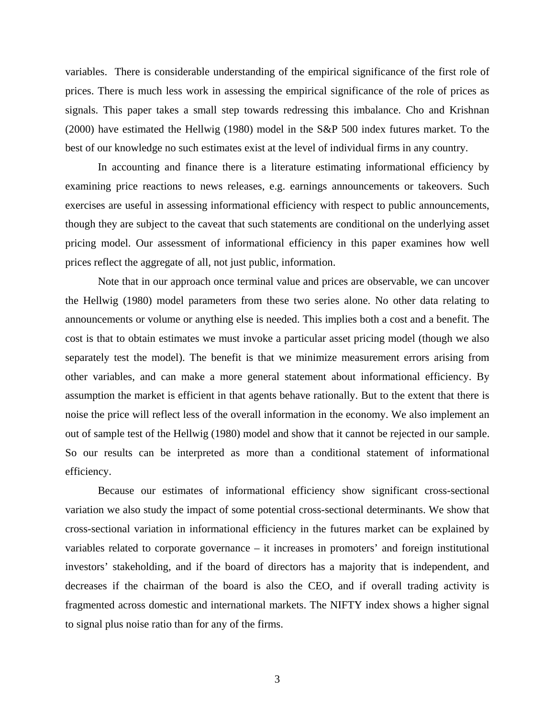variables. There is considerable understanding of the empirical significance of the first role of prices. There is much less work in assessing the empirical significance of the role of prices as signals. This paper takes a small step towards redressing this imbalance. Cho and Krishnan (2000) have estimated the Hellwig (1980) model in the S&P 500 index futures market. To the best of our knowledge no such estimates exist at the level of individual firms in any country.

 In accounting and finance there is a literature estimating informational efficiency by examining price reactions to news releases, e.g. earnings announcements or takeovers. Such exercises are useful in assessing informational efficiency with respect to public announcements, though they are subject to the caveat that such statements are conditional on the underlying asset pricing model. Our assessment of informational efficiency in this paper examines how well prices reflect the aggregate of all, not just public, information.

 Note that in our approach once terminal value and prices are observable, we can uncover the Hellwig (1980) model parameters from these two series alone. No other data relating to announcements or volume or anything else is needed. This implies both a cost and a benefit. The cost is that to obtain estimates we must invoke a particular asset pricing model (though we also separately test the model). The benefit is that we minimize measurement errors arising from other variables, and can make a more general statement about informational efficiency. By assumption the market is efficient in that agents behave rationally. But to the extent that there is noise the price will reflect less of the overall information in the economy. We also implement an out of sample test of the Hellwig (1980) model and show that it cannot be rejected in our sample. So our results can be interpreted as more than a conditional statement of informational efficiency.

 Because our estimates of informational efficiency show significant cross-sectional variation we also study the impact of some potential cross-sectional determinants. We show that cross-sectional variation in informational efficiency in the futures market can be explained by variables related to corporate governance – it increases in promoters' and foreign institutional investors' stakeholding, and if the board of directors has a majority that is independent, and decreases if the chairman of the board is also the CEO, and if overall trading activity is fragmented across domestic and international markets. The NIFTY index shows a higher signal to signal plus noise ratio than for any of the firms.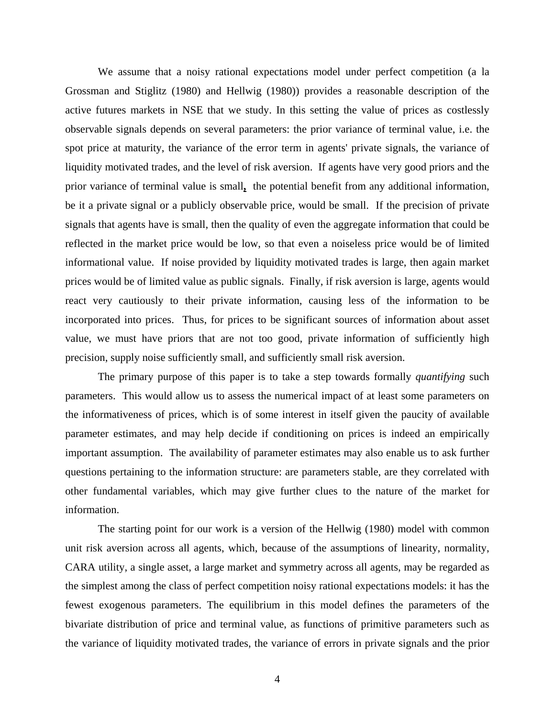We assume that a noisy rational expectations model under perfect competition (a la Grossman and Stiglitz (1980) and Hellwig (1980)) provides a reasonable description of the active futures markets in NSE that we study. In this setting the value of prices as costlessly observable signals depends on several parameters: the prior variance of terminal value, i.e. the spot price at maturity, the variance of the error term in agents' private signals, the variance of liquidity motivated trades, and the level of risk aversion. If agents have very good priors and the prior variance of terminal value is small**,** the potential benefit from any additional information, be it a private signal or a publicly observable price, would be small. If the precision of private signals that agents have is small, then the quality of even the aggregate information that could be reflected in the market price would be low, so that even a noiseless price would be of limited informational value. If noise provided by liquidity motivated trades is large, then again market prices would be of limited value as public signals. Finally, if risk aversion is large, agents would react very cautiously to their private information, causing less of the information to be incorporated into prices. Thus, for prices to be significant sources of information about asset value, we must have priors that are not too good, private information of sufficiently high precision, supply noise sufficiently small, and sufficiently small risk aversion.

 The primary purpose of this paper is to take a step towards formally *quantifying* such parameters. This would allow us to assess the numerical impact of at least some parameters on the informativeness of prices, which is of some interest in itself given the paucity of available parameter estimates, and may help decide if conditioning on prices is indeed an empirically important assumption. The availability of parameter estimates may also enable us to ask further questions pertaining to the information structure: are parameters stable, are they correlated with other fundamental variables, which may give further clues to the nature of the market for information.

 The starting point for our work is a version of the Hellwig (1980) model with common unit risk aversion across all agents, which, because of the assumptions of linearity, normality, CARA utility, a single asset, a large market and symmetry across all agents, may be regarded as the simplest among the class of perfect competition noisy rational expectations models: it has the fewest exogenous parameters. The equilibrium in this model defines the parameters of the bivariate distribution of price and terminal value, as functions of primitive parameters such as the variance of liquidity motivated trades, the variance of errors in private signals and the prior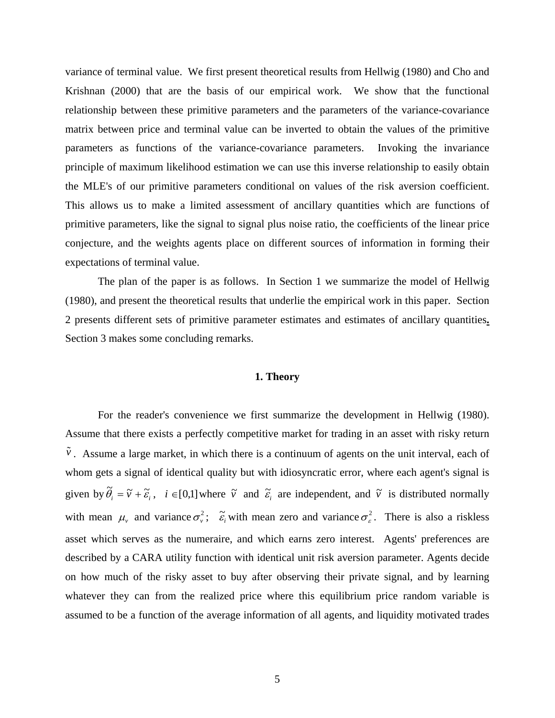variance of terminal value. We first present theoretical results from Hellwig (1980) and Cho and Krishnan (2000) that are the basis of our empirical work. We show that the functional relationship between these primitive parameters and the parameters of the variance-covariance matrix between price and terminal value can be inverted to obtain the values of the primitive parameters as functions of the variance-covariance parameters. Invoking the invariance principle of maximum likelihood estimation we can use this inverse relationship to easily obtain the MLE's of our primitive parameters conditional on values of the risk aversion coefficient. This allows us to make a limited assessment of ancillary quantities which are functions of primitive parameters, like the signal to signal plus noise ratio, the coefficients of the linear price conjecture, and the weights agents place on different sources of information in forming their expectations of terminal value.

 The plan of the paper is as follows. In Section 1 we summarize the model of Hellwig (1980), and present the theoretical results that underlie the empirical work in this paper. Section 2 presents different sets of primitive parameter estimates and estimates of ancillary quantities**.** Section 3 makes some concluding remarks.

### **1. Theory**

 For the reader's convenience we first summarize the development in Hellwig (1980). Assume that there exists a perfectly competitive market for trading in an asset with risky return  $\tilde{v}$ . Assume a large market, in which there is a continuum of agents on the unit interval, each of whom gets a signal of identical quality but with idiosyncratic error, where each agent's signal is given by  $\tilde{\theta}_i = \tilde{v} + \tilde{\varepsilon}_i$ ,  $i \in [0,1]$  where  $\tilde{v}$  and  $\tilde{\varepsilon}_i$  are independent, and  $\tilde{v}$  is distributed normally with mean  $\mu$ , and variance  $\sigma_v^2$ ;  $\tilde{\varepsilon}_i$  with mean zero and variance  $\sigma_\varepsilon^2$ . There is also a riskless asset which serves as the numeraire, and which earns zero interest. Agents' preferences are described by a CARA utility function with identical unit risk aversion parameter. Agents decide on how much of the risky asset to buy after observing their private signal, and by learning whatever they can from the realized price where this equilibrium price random variable is assumed to be a function of the average information of all agents, and liquidity motivated trades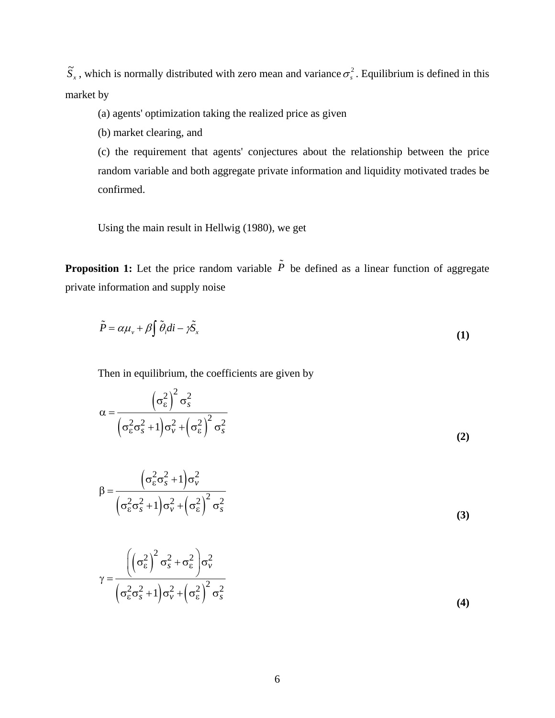$\tilde{S}_x$ , which is normally distributed with zero mean and variance  $\sigma_s^2$ . Equilibrium is defined in this market by

(a) agents' optimization taking the realized price as given

(b) market clearing, and

(c) the requirement that agents' conjectures about the relationship between the price random variable and both aggregate private information and liquidity motivated trades be confirmed.

Using the main result in Hellwig (1980), we get

**Proposition 1:** Let the price random variable  $\tilde{P}$  be defined as a linear function of aggregate private information and supply noise

$$
\tilde{P} = \alpha \mu_v + \beta \int \tilde{\theta}_i di - \gamma \tilde{S}_x \tag{1}
$$

Then in equilibrium, the coefficients are given by

$$
\alpha = \frac{\left(\sigma_{\varepsilon}^{2}\right)^{2} \sigma_{s}^{2}}{\left(\sigma_{\varepsilon}^{2} \sigma_{s}^{2} + 1\right) \sigma_{\nu}^{2} + \left(\sigma_{\varepsilon}^{2}\right)^{2} \sigma_{s}^{2}}
$$
\n(2)

$$
\beta = \frac{\left(\sigma_{\varepsilon}^{2}\sigma_{s}^{2} + 1\right)\sigma_{\nu}^{2}}{\left(\sigma_{\varepsilon}^{2}\sigma_{s}^{2} + 1\right)\sigma_{\nu}^{2} + \left(\sigma_{\varepsilon}^{2}\right)^{2}\sigma_{s}^{2}}
$$
\n
$$
\gamma = \frac{\left(\left(\sigma_{\varepsilon}^{2}\right)^{2}\sigma_{s}^{2} + \sigma_{\varepsilon}^{2}\right)\sigma_{\nu}^{2}}{\left(\sigma_{\varepsilon}^{2}\sigma_{s}^{2} + 1\right)\sigma_{\nu}^{2} + \left(\sigma_{\varepsilon}^{2}\right)^{2}\sigma_{s}^{2}}
$$
\n(3)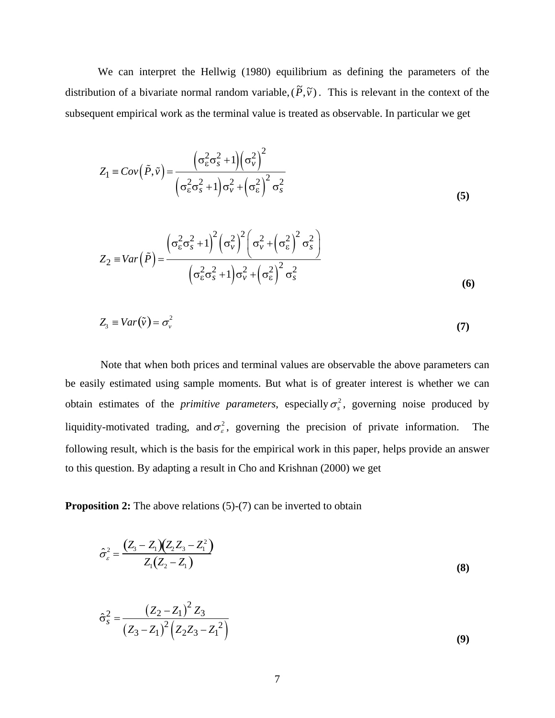We can interpret the Hellwig (1980) equilibrium as defining the parameters of the distribution of a bivariate normal random variable,  $(\tilde{P}, \tilde{v})$ . This is relevant in the context of the subsequent empirical work as the terminal value is treated as observable. In particular we get

$$
Z_1 \equiv Cov\left(\tilde{P}, \tilde{v}\right) = \frac{\left(\sigma_{\varepsilon}^2 \sigma_{s}^2 + 1\right) \left(\sigma_{v}^2\right)^2}{\left(\sigma_{\varepsilon}^2 \sigma_{s}^2 + 1\right) \sigma_{v}^2 + \left(\sigma_{\varepsilon}^2\right)^2 \sigma_{s}^2}
$$
\n(5)

$$
Z_2 \equiv Var\left(\tilde{P}\right) = \frac{\left(\sigma_{\varepsilon}^2 \sigma_{s}^2 + 1\right)^2 \left(\sigma_{\nu}^2\right)^2 \left(\sigma_{\nu}^2 + \left(\sigma_{\varepsilon}^2\right)^2 \sigma_{s}^2\right)}{\left(\sigma_{\varepsilon}^2 \sigma_{s}^2 + 1\right) \sigma_{\nu}^2 + \left(\sigma_{\varepsilon}^2\right)^2 \sigma_{s}^2}
$$
\n(6)

$$
Z_3 \equiv Var(\tilde{v}) = \sigma_v^2 \tag{7}
$$

 Note that when both prices and terminal values are observable the above parameters can be easily estimated using sample moments. But what is of greater interest is whether we can obtain estimates of the *primitive parameters*, especially  $\sigma_s^2$ , governing noise produced by liquidity-motivated trading, and  $\sigma_{\varepsilon}^2$ , governing the precision of private information. The following result, which is the basis for the empirical work in this paper, helps provide an answer to this question. By adapting a result in Cho and Krishnan (2000) we get

**Proposition 2:** The above relations (5)-(7) can be inverted to obtain

$$
\hat{\sigma}_{\varepsilon}^{2} = \frac{(Z_{3} - Z_{1})(Z_{2}Z_{3} - Z_{1}^{2})}{Z_{1}(Z_{2} - Z_{1})}
$$
\n(8)

$$
\hat{\sigma}_s^2 = \frac{(Z_2 - Z_1)^2 Z_3}{(Z_3 - Z_1)^2 (Z_2 Z_3 - Z_1^2)}
$$
\n(9)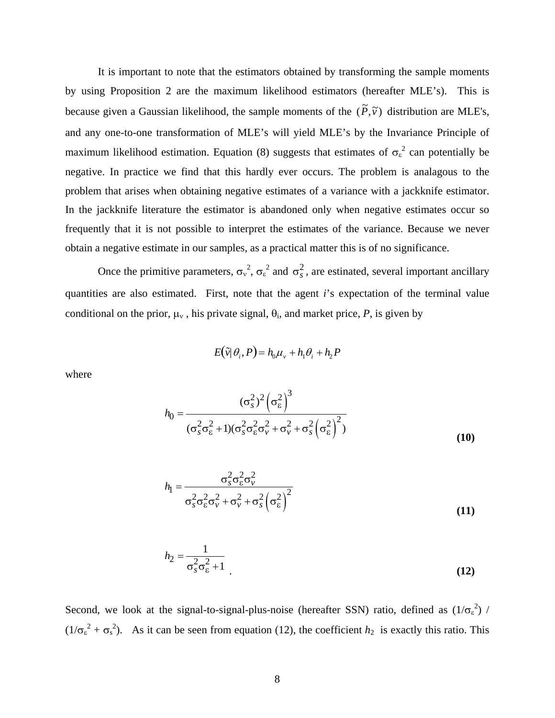It is important to note that the estimators obtained by transforming the sample moments by using Proposition 2 are the maximum likelihood estimators (hereafter MLE's). This is because given a Gaussian likelihood, the sample moments of the  $(\tilde{P}, \tilde{v})$  distribution are MLE's, and any one-to-one transformation of MLE's will yield MLE's by the Invariance Principle of maximum likelihood estimation. Equation (8) suggests that estimates of  $\sigma_{\epsilon}^2$  can potentially be negative. In practice we find that this hardly ever occurs. The problem is analagous to the problem that arises when obtaining negative estimates of a variance with a jackknife estimator. In the jackknife literature the estimator is abandoned only when negative estimates occur so frequently that it is not possible to interpret the estimates of the variance. Because we never obtain a negative estimate in our samples, as a practical matter this is of no significance.

Once the primitive parameters,  $\sigma_y^2$ ,  $\sigma_z^2$  and  $\sigma_s^2$ , are estinated, several important ancillary quantities are also estimated. First, note that the agent *i*'s expectation of the terminal value conditional on the prior,  $\mu_v$ , his private signal,  $\theta_i$ , and market price, P, is given by

$$
E(\tilde{v}|\theta_i, P) = h_0 \mu_v + h_1 \theta_i + h_2 P
$$

where

$$
h_0 = \frac{(\sigma_s^2)^2 (\sigma_\varepsilon^2)^3}{(\sigma_s^2 \sigma_\varepsilon^2 + 1)(\sigma_s^2 \sigma_\varepsilon^2 \sigma_v^2 + \sigma_v^2 + \sigma_s^2 (\sigma_\varepsilon^2)^2)}
$$
(10)

$$
h_{\rm l} = \frac{\sigma_s^2 \sigma_{\rm E}^2 \sigma_{\rm v}^2}{\sigma_s^2 \sigma_{\rm E}^2 \sigma_{\rm v}^2 + \sigma_{\rm v}^2 + \sigma_s^2 \left(\sigma_{\rm E}^2\right)^2}
$$
(11)

$$
h_2 = \frac{1}{\sigma_s^2 \sigma_{\varepsilon}^2 + 1} \tag{12}
$$

Second, we look at the signal-to-signal-plus-noise (hereafter SSN) ratio, defined as  $(1/\sigma_{\epsilon}^2)$  /  $(1/\sigma_{\epsilon}^2 + \sigma_{s}^2)$ . As it can be seen from equation (12), the coefficient *h*<sub>2</sub> is exactly this ratio. This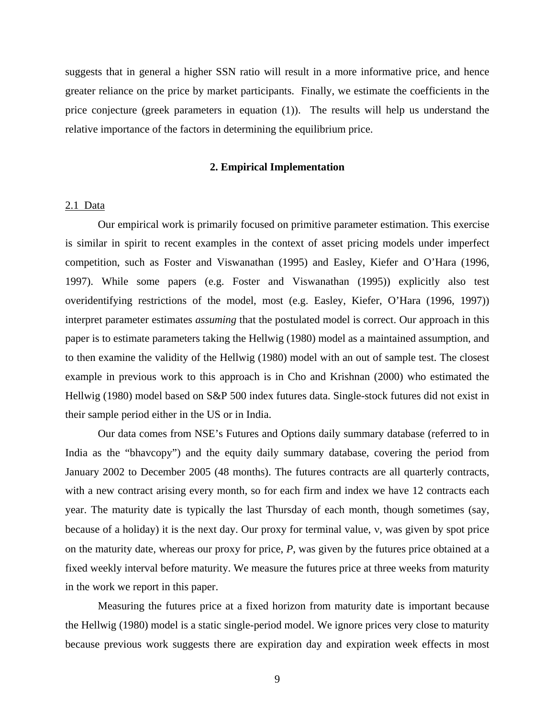suggests that in general a higher SSN ratio will result in a more informative price, and hence greater reliance on the price by market participants. Finally, we estimate the coefficients in the price conjecture (greek parameters in equation (1)). The results will help us understand the relative importance of the factors in determining the equilibrium price.

### **2. Empirical Implementation**

### 2.1 Data

 Our empirical work is primarily focused on primitive parameter estimation. This exercise is similar in spirit to recent examples in the context of asset pricing models under imperfect competition, such as Foster and Viswanathan (1995) and Easley, Kiefer and O'Hara (1996, 1997). While some papers (e.g. Foster and Viswanathan (1995)) explicitly also test overidentifying restrictions of the model, most (e.g. Easley, Kiefer, O'Hara (1996, 1997)) interpret parameter estimates *assuming* that the postulated model is correct. Our approach in this paper is to estimate parameters taking the Hellwig (1980) model as a maintained assumption, and to then examine the validity of the Hellwig (1980) model with an out of sample test. The closest example in previous work to this approach is in Cho and Krishnan (2000) who estimated the Hellwig (1980) model based on S&P 500 index futures data. Single-stock futures did not exist in their sample period either in the US or in India.

 Our data comes from NSE's Futures and Options daily summary database (referred to in India as the "bhavcopy") and the equity daily summary database, covering the period from January 2002 to December 2005 (48 months). The futures contracts are all quarterly contracts, with a new contract arising every month, so for each firm and index we have 12 contracts each year. The maturity date is typically the last Thursday of each month, though sometimes (say, because of a holiday) it is the next day. Our proxy for terminal value, ν, was given by spot price on the maturity date, whereas our proxy for price, *P*, was given by the futures price obtained at a fixed weekly interval before maturity. We measure the futures price at three weeks from maturity in the work we report in this paper.

 Measuring the futures price at a fixed horizon from maturity date is important because the Hellwig (1980) model is a static single-period model. We ignore prices very close to maturity because previous work suggests there are expiration day and expiration week effects in most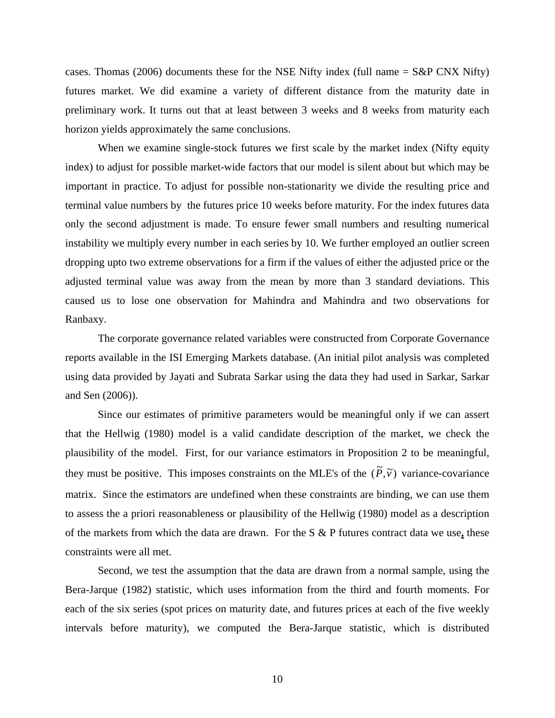cases. Thomas (2006) documents these for the NSE Nifty index (full name  $=$  S&P CNX Nifty) futures market. We did examine a variety of different distance from the maturity date in preliminary work. It turns out that at least between 3 weeks and 8 weeks from maturity each horizon yields approximately the same conclusions.

 When we examine single-stock futures we first scale by the market index (Nifty equity index) to adjust for possible market-wide factors that our model is silent about but which may be important in practice. To adjust for possible non-stationarity we divide the resulting price and terminal value numbers by the futures price 10 weeks before maturity. For the index futures data only the second adjustment is made. To ensure fewer small numbers and resulting numerical instability we multiply every number in each series by 10. We further employed an outlier screen dropping upto two extreme observations for a firm if the values of either the adjusted price or the adjusted terminal value was away from the mean by more than 3 standard deviations. This caused us to lose one observation for Mahindra and Mahindra and two observations for Ranbaxy.

 The corporate governance related variables were constructed from Corporate Governance reports available in the ISI Emerging Markets database. (An initial pilot analysis was completed using data provided by Jayati and Subrata Sarkar using the data they had used in Sarkar, Sarkar and Sen (2006)).

 Since our estimates of primitive parameters would be meaningful only if we can assert that the Hellwig (1980) model is a valid candidate description of the market, we check the plausibility of the model. First, for our variance estimators in Proposition 2 to be meaningful, they must be positive. This imposes constraints on the MLE's of the  $(\tilde{P}, \tilde{v})$  variance-covariance matrix. Since the estimators are undefined when these constraints are binding, we can use them to assess the a priori reasonableness or plausibility of the Hellwig (1980) model as a description of the markets from which the data are drawn. For the S & P futures contract data we use**,** these constraints were all met.

 Second, we test the assumption that the data are drawn from a normal sample, using the Bera-Jarque (1982) statistic, which uses information from the third and fourth moments. For each of the six series (spot prices on maturity date, and futures prices at each of the five weekly intervals before maturity), we computed the Bera-Jarque statistic, which is distributed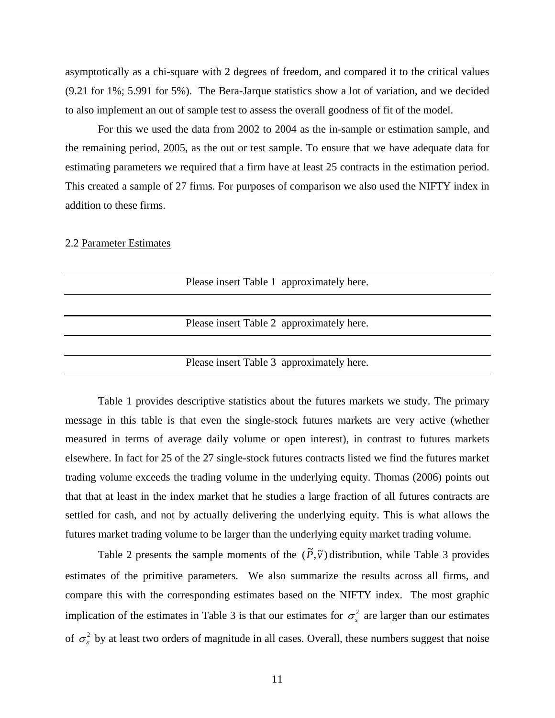asymptotically as a chi-square with 2 degrees of freedom, and compared it to the critical values (9.21 for 1%; 5.991 for 5%). The Bera-Jarque statistics show a lot of variation, and we decided to also implement an out of sample test to assess the overall goodness of fit of the model.

 For this we used the data from 2002 to 2004 as the in-sample or estimation sample, and the remaining period, 2005, as the out or test sample. To ensure that we have adequate data for estimating parameters we required that a firm have at least 25 contracts in the estimation period. This created a sample of 27 firms. For purposes of comparison we also used the NIFTY index in addition to these firms.

### 2.2 Parameter Estimates

| Please insert Table 1 approximately here. |
|-------------------------------------------|
|                                           |
|                                           |
| Please insert Table 2 approximately here. |
|                                           |
| Please insert Table 3 approximately here. |

 Table 1 provides descriptive statistics about the futures markets we study. The primary message in this table is that even the single-stock futures markets are very active (whether measured in terms of average daily volume or open interest), in contrast to futures markets elsewhere. In fact for 25 of the 27 single-stock futures contracts listed we find the futures market trading volume exceeds the trading volume in the underlying equity. Thomas (2006) points out that that at least in the index market that he studies a large fraction of all futures contracts are settled for cash, and not by actually delivering the underlying equity. This is what allows the futures market trading volume to be larger than the underlying equity market trading volume.

Table 2 presents the sample moments of the  $(\tilde{P}, \tilde{v})$  distribution, while Table 3 provides estimates of the primitive parameters. We also summarize the results across all firms, and compare this with the corresponding estimates based on the NIFTY index. The most graphic implication of the estimates in Table 3 is that our estimates for  $\sigma_s^2$  are larger than our estimates of  $\sigma_{\varepsilon}^2$  by at least two orders of magnitude in all cases. Overall, these numbers suggest that noise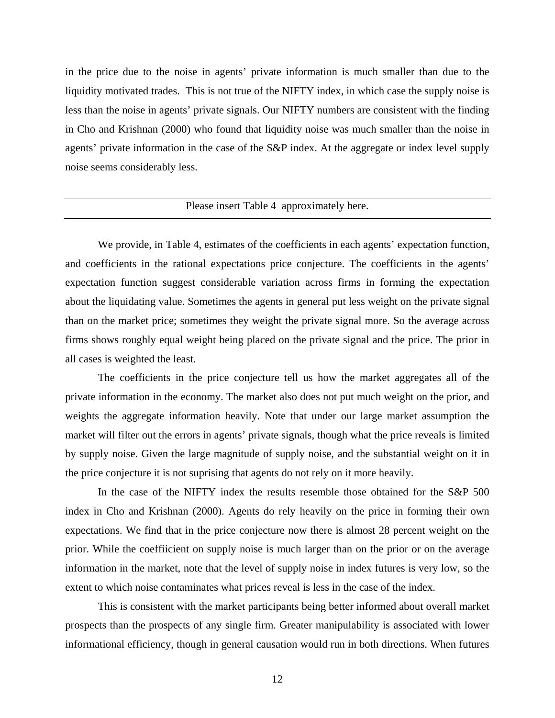in the price due to the noise in agents' private information is much smaller than due to the liquidity motivated trades. This is not true of the NIFTY index, in which case the supply noise is less than the noise in agents' private signals. Our NIFTY numbers are consistent with the finding in Cho and Krishnan (2000) who found that liquidity noise was much smaller than the noise in agents' private information in the case of the S&P index. At the aggregate or index level supply noise seems considerably less.

## Please insert Table 4 approximately here.

 We provide, in Table 4, estimates of the coefficients in each agents' expectation function, and coefficients in the rational expectations price conjecture. The coefficients in the agents' expectation function suggest considerable variation across firms in forming the expectation about the liquidating value. Sometimes the agents in general put less weight on the private signal than on the market price; sometimes they weight the private signal more. So the average across firms shows roughly equal weight being placed on the private signal and the price. The prior in all cases is weighted the least.

 The coefficients in the price conjecture tell us how the market aggregates all of the private information in the economy. The market also does not put much weight on the prior, and weights the aggregate information heavily. Note that under our large market assumption the market will filter out the errors in agents' private signals, though what the price reveals is limited by supply noise. Given the large magnitude of supply noise, and the substantial weight on it in the price conjecture it is not suprising that agents do not rely on it more heavily.

 In the case of the NIFTY index the results resemble those obtained for the S&P 500 index in Cho and Krishnan (2000). Agents do rely heavily on the price in forming their own expectations. We find that in the price conjecture now there is almost 28 percent weight on the prior. While the coeffiicient on supply noise is much larger than on the prior or on the average information in the market, note that the level of supply noise in index futures is very low, so the extent to which noise contaminates what prices reveal is less in the case of the index.

 This is consistent with the market participants being better informed about overall market prospects than the prospects of any single firm. Greater manipulability is associated with lower informational efficiency, though in general causation would run in both directions. When futures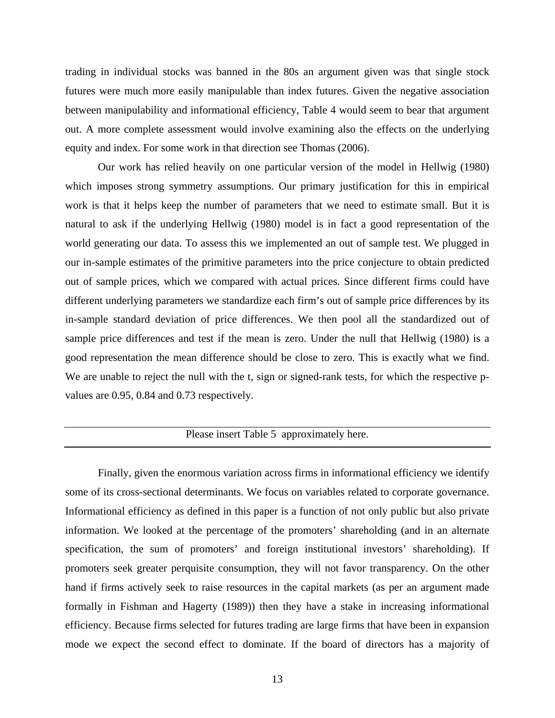trading in individual stocks was banned in the 80s an argument given was that single stock futures were much more easily manipulable than index futures. Given the negative association between manipulability and informational efficiency, Table 4 would seem to bear that argument out. A more complete assessment would involve examining also the effects on the underlying equity and index. For some work in that direction see Thomas (2006).

 Our work has relied heavily on one particular version of the model in Hellwig (1980) which imposes strong symmetry assumptions. Our primary justification for this in empirical work is that it helps keep the number of parameters that we need to estimate small. But it is natural to ask if the underlying Hellwig (1980) model is in fact a good representation of the world generating our data. To assess this we implemented an out of sample test. We plugged in our in-sample estimates of the primitive parameters into the price conjecture to obtain predicted out of sample prices, which we compared with actual prices. Since different firms could have different underlying parameters we standardize each firm's out of sample price differences by its in-sample standard deviation of price differences. We then pool all the standardized out of sample price differences and test if the mean is zero. Under the null that Hellwig (1980) is a good representation the mean difference should be close to zero. This is exactly what we find. We are unable to reject the null with the t, sign or signed-rank tests, for which the respective pvalues are 0.95, 0.84 and 0.73 respectively.

# Please insert Table 5 approximately here.

 Finally, given the enormous variation across firms in informational efficiency we identify some of its cross-sectional determinants. We focus on variables related to corporate governance. Informational efficiency as defined in this paper is a function of not only public but also private information. We looked at the percentage of the promoters' shareholding (and in an alternate specification, the sum of promoters' and foreign institutional investors' shareholding). If promoters seek greater perquisite consumption, they will not favor transparency. On the other hand if firms actively seek to raise resources in the capital markets (as per an argument made formally in Fishman and Hagerty (1989)) then they have a stake in increasing informational efficiency. Because firms selected for futures trading are large firms that have been in expansion mode we expect the second effect to dominate. If the board of directors has a majority of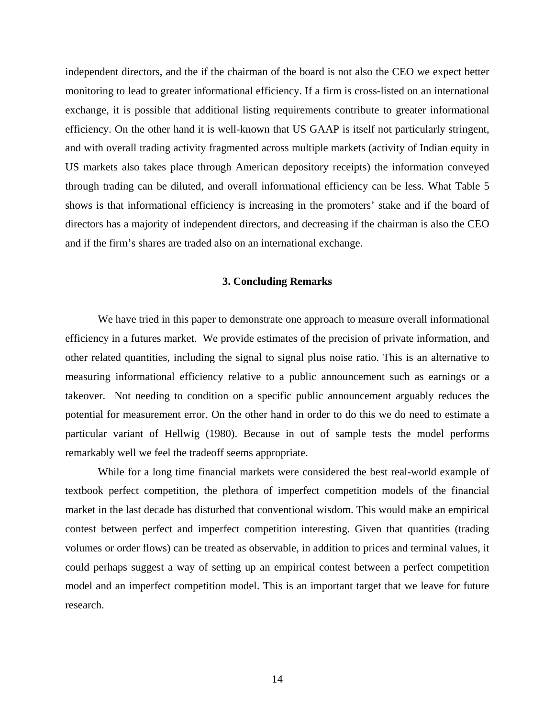independent directors, and the if the chairman of the board is not also the CEO we expect better monitoring to lead to greater informational efficiency. If a firm is cross-listed on an international exchange, it is possible that additional listing requirements contribute to greater informational efficiency. On the other hand it is well-known that US GAAP is itself not particularly stringent, and with overall trading activity fragmented across multiple markets (activity of Indian equity in US markets also takes place through American depository receipts) the information conveyed through trading can be diluted, and overall informational efficiency can be less. What Table 5 shows is that informational efficiency is increasing in the promoters' stake and if the board of directors has a majority of independent directors, and decreasing if the chairman is also the CEO and if the firm's shares are traded also on an international exchange.

### **3. Concluding Remarks**

 We have tried in this paper to demonstrate one approach to measure overall informational efficiency in a futures market. We provide estimates of the precision of private information, and other related quantities, including the signal to signal plus noise ratio. This is an alternative to measuring informational efficiency relative to a public announcement such as earnings or a takeover. Not needing to condition on a specific public announcement arguably reduces the potential for measurement error. On the other hand in order to do this we do need to estimate a particular variant of Hellwig (1980). Because in out of sample tests the model performs remarkably well we feel the tradeoff seems appropriate.

 While for a long time financial markets were considered the best real-world example of textbook perfect competition, the plethora of imperfect competition models of the financial market in the last decade has disturbed that conventional wisdom. This would make an empirical contest between perfect and imperfect competition interesting. Given that quantities (trading volumes or order flows) can be treated as observable, in addition to prices and terminal values, it could perhaps suggest a way of setting up an empirical contest between a perfect competition model and an imperfect competition model. This is an important target that we leave for future research.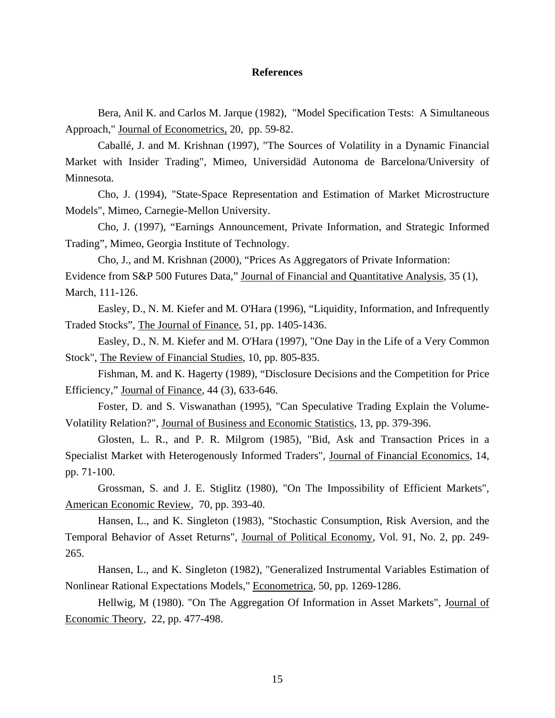### **References**

 Bera, Anil K. and Carlos M. Jarque (1982), "Model Specification Tests: A Simultaneous Approach," Journal of Econometrics, 20, pp. 59-82.

 Caballé, J. and M. Krishnan (1997), "The Sources of Volatility in a Dynamic Financial Market with Insider Trading", Mimeo, Universidäd Autonoma de Barcelona/University of Minnesota.

 Cho, J. (1994), "State-Space Representation and Estimation of Market Microstructure Models", Mimeo, Carnegie-Mellon University.

 Cho, J. (1997), "Earnings Announcement, Private Information, and Strategic Informed Trading", Mimeo, Georgia Institute of Technology.

 Cho, J., and M. Krishnan (2000), "Prices As Aggregators of Private Information: Evidence from S&P 500 Futures Data," Journal of Financial and Quantitative Analysis, 35 (1), March, 111-126.

 Easley, D., N. M. Kiefer and M. O'Hara (1996), "Liquidity, Information, and Infrequently Traded Stocks", The Journal of Finance, 51, pp. 1405-1436.

 Easley, D., N. M. Kiefer and M. O'Hara (1997), "One Day in the Life of a Very Common Stock", The Review of Financial Studies, 10, pp. 805-835.

 Fishman, M. and K. Hagerty (1989), "Disclosure Decisions and the Competition for Price Efficiency," Journal of Finance, 44 (3), 633-646.

 Foster, D. and S. Viswanathan (1995), "Can Speculative Trading Explain the Volume-Volatility Relation?", Journal of Business and Economic Statistics, 13, pp. 379-396.

 Glosten, L. R., and P. R. Milgrom (1985), "Bid, Ask and Transaction Prices in a Specialist Market with Heterogenously Informed Traders", Journal of Financial Economics, 14, pp. 71-100.

 Grossman, S. and J. E. Stiglitz (1980), "On The Impossibility of Efficient Markets", American Economic Review, 70, pp. 393-40.

 Hansen, L., and K. Singleton (1983), "Stochastic Consumption, Risk Aversion, and the Temporal Behavior of Asset Returns", Journal of Political Economy, Vol. 91, No. 2, pp. 249- 265.

 Hansen, L., and K. Singleton (1982), "Generalized Instrumental Variables Estimation of Nonlinear Rational Expectations Models," Econometrica, 50, pp. 1269-1286.

 Hellwig, M (1980). "On The Aggregation Of Information in Asset Markets", Journal of Economic Theory, 22, pp. 477-498.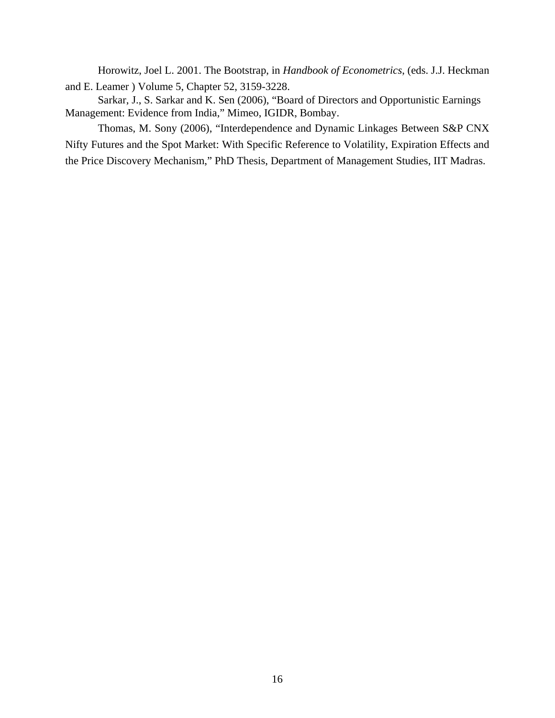Horowitz, Joel L. 2001. The Bootstrap, in *Handbook of Econometrics*, (eds. J.J. Heckman and E. Leamer ) Volume 5, Chapter 52, 3159-3228.

 Sarkar, J., S. Sarkar and K. Sen (2006), "Board of Directors and Opportunistic Earnings Management: Evidence from India," Mimeo, IGIDR, Bombay.

 Thomas, M. Sony (2006), "Interdependence and Dynamic Linkages Between S&P CNX Nifty Futures and the Spot Market: With Specific Reference to Volatility, Expiration Effects and the Price Discovery Mechanism," PhD Thesis, Department of Management Studies, IIT Madras.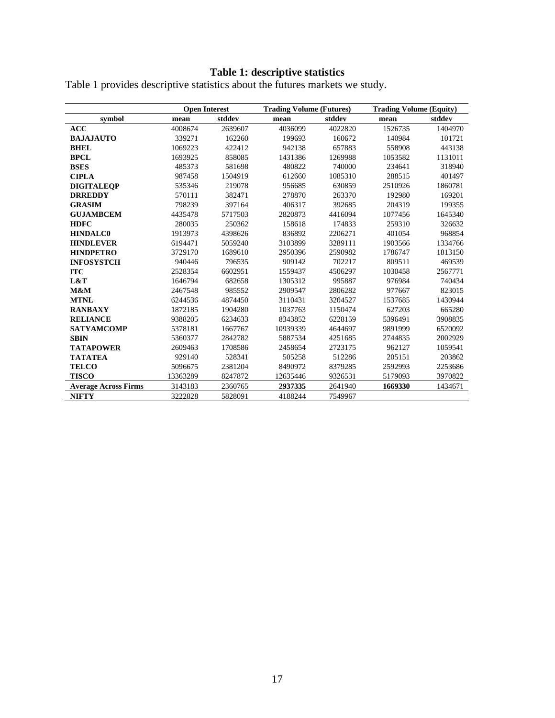### **Table 1: descriptive statistics**

|                             | <b>Open Interest</b> |         |          | <b>Trading Volume (Futures)</b> |         | <b>Trading Volume (Equity)</b> |
|-----------------------------|----------------------|---------|----------|---------------------------------|---------|--------------------------------|
| symbol                      | mean                 | stddev  | mean     | stddev                          | mean    | stddev                         |
| <b>ACC</b>                  | 4008674              | 2639607 | 4036099  | 4022820                         | 1526735 | 1404970                        |
| <b>BAJAJAUTO</b>            | 339271               | 162260  | 199693   | 160672                          | 140984  | 101721                         |
| <b>BHEL</b>                 | 1069223              | 422412  | 942138   | 657883                          | 558908  | 443138                         |
| <b>BPCL</b>                 | 1693925              | 858085  | 1431386  | 1269988                         | 1053582 | 1131011                        |
| <b>BSES</b>                 | 485373               | 581698  | 480822   | 740000                          | 234641  | 318940                         |
| <b>CIPLA</b>                | 987458               | 1504919 | 612660   | 1085310                         | 288515  | 401497                         |
| <b>DIGITALEOP</b>           | 535346               | 219078  | 956685   | 630859                          | 2510926 | 1860781                        |
| <b>DRREDDY</b>              | 570111               | 382471  | 278870   | 263370                          | 192980  | 169201                         |
| <b>GRASIM</b>               | 798239               | 397164  | 406317   | 392685                          | 204319  | 199355                         |
| <b>GUJAMBCEM</b>            | 4435478              | 5717503 | 2820873  | 4416094                         | 1077456 | 1645340                        |
| <b>HDFC</b>                 | 280035               | 250362  | 158618   | 174833                          | 259310  | 326632                         |
| <b>HINDALC0</b>             | 1913973              | 4398626 | 836892   | 2206271                         | 401054  | 968854                         |
| <b>HINDLEVER</b>            | 6194471              | 5059240 | 3103899  | 3289111                         | 1903566 | 1334766                        |
| <b>HINDPETRO</b>            | 3729170              | 1689610 | 2950396  | 2590982                         | 1786747 | 1813150                        |
| <b>INFOSYSTCH</b>           | 940446               | 796535  | 909142   | 702217                          | 809511  | 469539                         |
| <b>ITC</b>                  | 2528354              | 6602951 | 1559437  | 4506297                         | 1030458 | 2567771                        |
| L&T                         | 1646794              | 682658  | 1305312  | 995887                          | 976984  | 740434                         |
| M&M                         | 2467548              | 985552  | 2909547  | 2806282                         | 977667  | 823015                         |
| <b>MTNL</b>                 | 6244536              | 4874450 | 3110431  | 3204527                         | 1537685 | 1430944                        |
| <b>RANBAXY</b>              | 1872185              | 1904280 | 1037763  | 1150474                         | 627203  | 665280                         |
| <b>RELIANCE</b>             | 9388205              | 6234633 | 8343852  | 6228159                         | 5396491 | 3908835                        |
| <b>SATYAMCOMP</b>           | 5378181              | 1667767 | 10939339 | 4644697                         | 9891999 | 6520092                        |
| <b>SBIN</b>                 | 5360377              | 2842782 | 5887534  | 4251685                         | 2744835 | 2002929                        |
| <b>TATAPOWER</b>            | 2609463              | 1708586 | 2458654  | 2723175                         | 962127  | 1059541                        |
| <b>TATATEA</b>              | 929140               | 528341  | 505258   | 512286                          | 205151  | 203862                         |
| <b>TELCO</b>                | 5096675              | 2381204 | 8490972  | 8379285                         | 2592993 | 2253686                        |
| <b>TISCO</b>                | 13363289             | 8247872 | 12635446 | 9326531                         | 5179093 | 3970822                        |
| <b>Average Across Firms</b> | 3143183              | 2360765 | 2937335  | 2641940                         | 1669330 | 1434671                        |
| <b>NIFTY</b>                | 3222828              | 5828091 | 4188244  | 7549967                         |         |                                |

Table 1 provides descriptive statistics about the futures markets we study.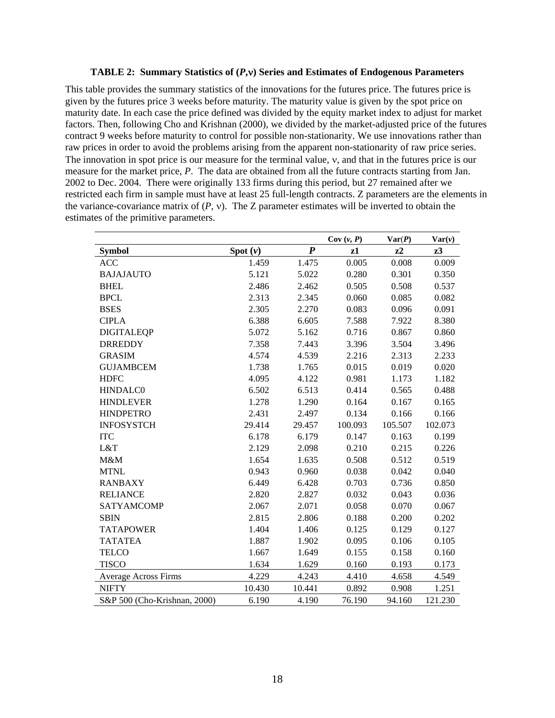#### **TABLE 2: Summary Statistics of (***P***,**ν**) Series and Estimates of Endogenous Parameters**

This table provides the summary statistics of the innovations for the futures price. The futures price is given by the futures price 3 weeks before maturity. The maturity value is given by the spot price on maturity date. In each case the price defined was divided by the equity market index to adjust for market factors. Then, following Cho and Krishnan (2000), we divided by the market-adjusted price of the futures contract 9 weeks before maturity to control for possible non-stationarity. We use innovations rather than raw prices in order to avoid the problems arising from the apparent non-stationarity of raw price series. The innovation in spot price is our measure for the terminal value, ν, and that in the futures price is our measure for the market price, *P*. The data are obtained from all the future contracts starting from Jan. 2002 to Dec. 2004. There were originally 133 firms during this period, but 27 remained after we restricted each firm in sample must have at least 25 full-length contracts. Z parameters are the elements in the variance-covariance matrix of  $(P, v)$ . The Z parameter estimates will be inverted to obtain the estimates of the primitive parameters.

|                              |         |                  | Cov(v, P) | Var(P)  | $\text{Var}(v)$ |
|------------------------------|---------|------------------|-----------|---------|-----------------|
| <b>Symbol</b>                | Spot(v) | $\boldsymbol{P}$ | z1        | $z^2$   | z3              |
| <b>ACC</b>                   | 1.459   | 1.475            | 0.005     | 0.008   | 0.009           |
| <b>BAJAJAUTO</b>             | 5.121   | 5.022            | 0.280     | 0.301   | 0.350           |
| <b>BHEL</b>                  | 2.486   | 2.462            | 0.505     | 0.508   | 0.537           |
| <b>BPCL</b>                  | 2.313   | 2.345            | 0.060     | 0.085   | 0.082           |
| <b>BSES</b>                  | 2.305   | 2.270            | 0.083     | 0.096   | 0.091           |
| <b>CIPLA</b>                 | 6.388   | 6.605            | 7.588     | 7.922   | 8.380           |
| <b>DIGITALEQP</b>            | 5.072   | 5.162            | 0.716     | 0.867   | 0.860           |
| <b>DRREDDY</b>               | 7.358   | 7.443            | 3.396     | 3.504   | 3.496           |
| <b>GRASIM</b>                | 4.574   | 4.539            | 2.216     | 2.313   | 2.233           |
| <b>GUJAMBCEM</b>             | 1.738   | 1.765            | 0.015     | 0.019   | 0.020           |
| <b>HDFC</b>                  | 4.095   | 4.122            | 0.981     | 1.173   | 1.182           |
| <b>HINDALC0</b>              | 6.502   | 6.513            | 0.414     | 0.565   | 0.488           |
| <b>HINDLEVER</b>             | 1.278   | 1.290            | 0.164     | 0.167   | 0.165           |
| <b>HINDPETRO</b>             | 2.431   | 2.497            | 0.134     | 0.166   | 0.166           |
| <b>INFOSYSTCH</b>            | 29.414  | 29.457           | 100.093   | 105.507 | 102.073         |
| <b>ITC</b>                   | 6.178   | 6.179            | 0.147     | 0.163   | 0.199           |
| L&T                          | 2.129   | 2.098            | 0.210     | 0.215   | 0.226           |
| M&M                          | 1.654   | 1.635            | 0.508     | 0.512   | 0.519           |
| <b>MTNL</b>                  | 0.943   | 0.960            | 0.038     | 0.042   | 0.040           |
| <b>RANBAXY</b>               | 6.449   | 6.428            | 0.703     | 0.736   | 0.850           |
| <b>RELIANCE</b>              | 2.820   | 2.827            | 0.032     | 0.043   | 0.036           |
| SATYAMCOMP                   | 2.067   | 2.071            | 0.058     | 0.070   | 0.067           |
| <b>SBIN</b>                  | 2.815   | 2.806            | 0.188     | 0.200   | 0.202           |
| <b>TATAPOWER</b>             | 1.404   | 1.406            | 0.125     | 0.129   | 0.127           |
| <b>TATATEA</b>               | 1.887   | 1.902            | 0.095     | 0.106   | 0.105           |
| <b>TELCO</b>                 | 1.667   | 1.649            | 0.155     | 0.158   | 0.160           |
| <b>TISCO</b>                 | 1.634   | 1.629            | 0.160     | 0.193   | 0.173           |
| <b>Average Across Firms</b>  | 4.229   | 4.243            | 4.410     | 4.658   | 4.549           |
| <b>NIFTY</b>                 | 10.430  | 10.441           | 0.892     | 0.908   | 1.251           |
| S&P 500 (Cho-Krishnan, 2000) | 6.190   | 4.190            | 76.190    | 94.160  | 121.230         |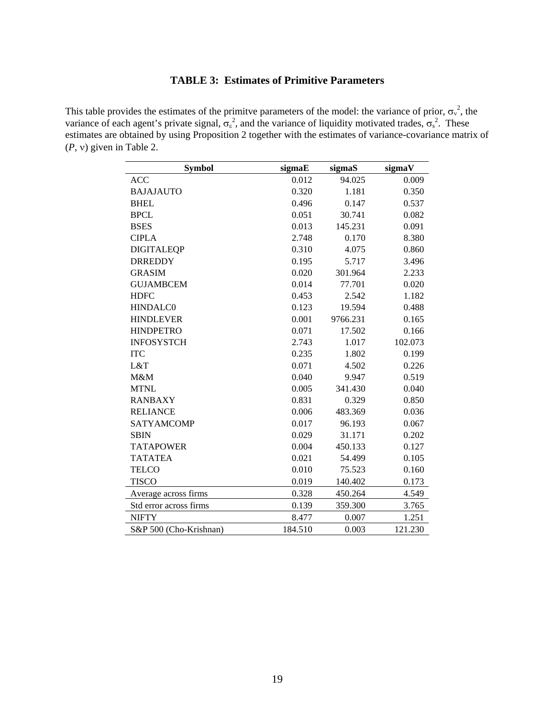## **TABLE 3: Estimates of Primitive Parameters**

This table provides the estimates of the primitve parameters of the model: the variance of prior,  $\sigma_{v}^{2}$ , the variance of each agent's private signal,  $\sigma_{\epsilon}^2$ , and the variance of liquidity motivated trades,  $\sigma_{s}^2$ . These estimates are obtained by using Proposition 2 together with the estimates of variance-covariance matrix of (*P*, ν) given in Table 2.

| <b>Symbol</b>          | sigmaE  | sigmaS   | sigmaV  |
|------------------------|---------|----------|---------|
| ACC                    | 0.012   | 94.025   | 0.009   |
| <b>BAJAJAUTO</b>       | 0.320   | 1.181    | 0.350   |
| <b>BHEL</b>            | 0.496   | 0.147    | 0.537   |
| <b>BPCL</b>            | 0.051   | 30.741   | 0.082   |
| <b>BSES</b>            | 0.013   | 145.231  | 0.091   |
| <b>CIPLA</b>           | 2.748   | 0.170    | 8.380   |
| <b>DIGITALEQP</b>      | 0.310   | 4.075    | 0.860   |
| <b>DRREDDY</b>         | 0.195   | 5.717    | 3.496   |
| <b>GRASIM</b>          | 0.020   | 301.964  | 2.233   |
| <b>GUJAMBCEM</b>       | 0.014   | 77.701   | 0.020   |
| <b>HDFC</b>            | 0.453   | 2.542    | 1.182   |
| <b>HINDALC0</b>        | 0.123   | 19.594   | 0.488   |
| <b>HINDLEVER</b>       | 0.001   | 9766.231 | 0.165   |
| <b>HINDPETRO</b>       | 0.071   | 17.502   | 0.166   |
| <b>INFOSYSTCH</b>      | 2.743   | 1.017    | 102.073 |
| <b>ITC</b>             | 0.235   | 1.802    | 0.199   |
| L&T                    | 0.071   | 4.502    | 0.226   |
| M&M                    | 0.040   | 9.947    | 0.519   |
| <b>MTNL</b>            | 0.005   | 341.430  | 0.040   |
| <b>RANBAXY</b>         | 0.831   | 0.329    | 0.850   |
| <b>RELIANCE</b>        | 0.006   | 483.369  | 0.036   |
| SATYAMCOMP             | 0.017   | 96.193   | 0.067   |
| <b>SBIN</b>            | 0.029   | 31.171   | 0.202   |
| <b>TATAPOWER</b>       | 0.004   | 450.133  | 0.127   |
| <b>TATATEA</b>         | 0.021   | 54.499   | 0.105   |
| <b>TELCO</b>           | 0.010   | 75.523   | 0.160   |
| <b>TISCO</b>           | 0.019   | 140.402  | 0.173   |
| Average across firms   | 0.328   | 450.264  | 4.549   |
| Std error across firms | 0.139   | 359.300  | 3.765   |
| <b>NIFTY</b>           | 8.477   | 0.007    | 1.251   |
| S&P 500 (Cho-Krishnan) | 184.510 | 0.003    | 121.230 |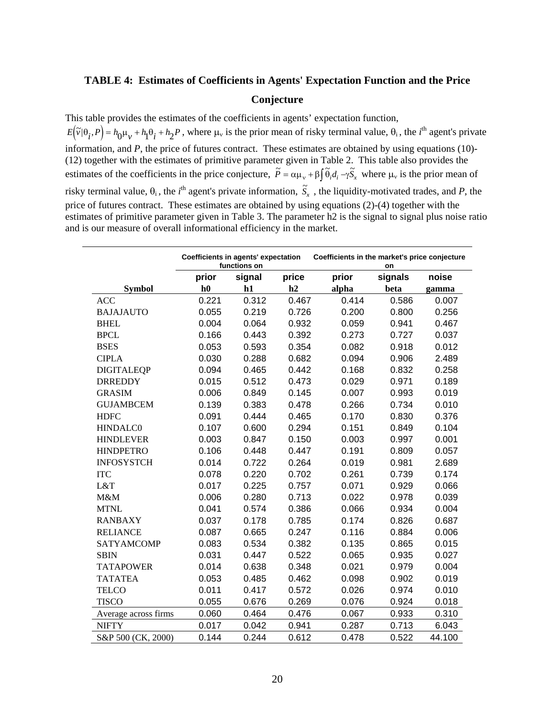### **TABLE 4: Estimates of Coefficients in Agents' Expectation Function and the Price**

### **Conjecture**

This table provides the estimates of the coefficients in agents' expectation function,  $E(\tilde{v}|\theta_i, P) = h_0\mu_v + h_1\theta_i + h_2P$ , where  $\mu_v$  is the prior mean of risky terminal value,  $\theta_i$ , the *i*<sup>th</sup> agent's private information, and *P*, the price of futures contract. These estimates are obtained by using equations (10)- (12) together with the estimates of primitive parameter given in Table 2. This table also provides the estimates of the coefficients in the price conjecture,  $\tilde{P} = \alpha \mu_v + \beta \int \tilde{\theta}_i d_i - \gamma \tilde{S}_x$  where  $\mu_v$  is the prior mean of risky terminal value,  $\theta_i$ , the *i*<sup>th</sup> agent's private information,  $\tilde{S}_x$ , the liquidity-motivated trades, and *P*, the price of futures contract. These estimates are obtained by using equations (2)-(4) together with the estimates of primitive parameter given in Table 3. The parameter h2 is the signal to signal plus noise ratio and is our measure of overall informational efficiency in the market.

 $\overline{\phantom{a}}$ 

|                      | Coefficients in agents' expectation<br>Coefficients in the market's price conjecture<br>functions on<br>on |        |       |       |         |        |
|----------------------|------------------------------------------------------------------------------------------------------------|--------|-------|-------|---------|--------|
|                      | prior                                                                                                      | signal | price | prior | signals | noise  |
| <b>Symbol</b>        | h0                                                                                                         | h1     | h2    | alpha | beta    | gamma  |
| <b>ACC</b>           | 0.221                                                                                                      | 0.312  | 0.467 | 0.414 | 0.586   | 0.007  |
| <b>BAJAJAUTO</b>     | 0.055                                                                                                      | 0.219  | 0.726 | 0.200 | 0.800   | 0.256  |
| <b>BHEL</b>          | 0.004                                                                                                      | 0.064  | 0.932 | 0.059 | 0.941   | 0.467  |
| <b>BPCL</b>          | 0.166                                                                                                      | 0.443  | 0.392 | 0.273 | 0.727   | 0.037  |
| <b>BSES</b>          | 0.053                                                                                                      | 0.593  | 0.354 | 0.082 | 0.918   | 0.012  |
| <b>CIPLA</b>         | 0.030                                                                                                      | 0.288  | 0.682 | 0.094 | 0.906   | 2.489  |
| <b>DIGITALEQP</b>    | 0.094                                                                                                      | 0.465  | 0.442 | 0.168 | 0.832   | 0.258  |
| <b>DRREDDY</b>       | 0.015                                                                                                      | 0.512  | 0.473 | 0.029 | 0.971   | 0.189  |
| <b>GRASIM</b>        | 0.006                                                                                                      | 0.849  | 0.145 | 0.007 | 0.993   | 0.019  |
| <b>GUJAMBCEM</b>     | 0.139                                                                                                      | 0.383  | 0.478 | 0.266 | 0.734   | 0.010  |
| <b>HDFC</b>          | 0.091                                                                                                      | 0.444  | 0.465 | 0.170 | 0.830   | 0.376  |
| <b>HINDALC0</b>      | 0.107                                                                                                      | 0.600  | 0.294 | 0.151 | 0.849   | 0.104  |
| <b>HINDLEVER</b>     | 0.003                                                                                                      | 0.847  | 0.150 | 0.003 | 0.997   | 0.001  |
| <b>HINDPETRO</b>     | 0.106                                                                                                      | 0.448  | 0.447 | 0.191 | 0.809   | 0.057  |
| <b>INFOSYSTCH</b>    | 0.014                                                                                                      | 0.722  | 0.264 | 0.019 | 0.981   | 2.689  |
| <b>ITC</b>           | 0.078                                                                                                      | 0.220  | 0.702 | 0.261 | 0.739   | 0.174  |
| L&T                  | 0.017                                                                                                      | 0.225  | 0.757 | 0.071 | 0.929   | 0.066  |
| M&M                  | 0.006                                                                                                      | 0.280  | 0.713 | 0.022 | 0.978   | 0.039  |
| <b>MTNL</b>          | 0.041                                                                                                      | 0.574  | 0.386 | 0.066 | 0.934   | 0.004  |
| <b>RANBAXY</b>       | 0.037                                                                                                      | 0.178  | 0.785 | 0.174 | 0.826   | 0.687  |
| <b>RELIANCE</b>      | 0.087                                                                                                      | 0.665  | 0.247 | 0.116 | 0.884   | 0.006  |
| <b>SATYAMCOMP</b>    | 0.083                                                                                                      | 0.534  | 0.382 | 0.135 | 0.865   | 0.015  |
| <b>SBIN</b>          | 0.031                                                                                                      | 0.447  | 0.522 | 0.065 | 0.935   | 0.027  |
| <b>TATAPOWER</b>     | 0.014                                                                                                      | 0.638  | 0.348 | 0.021 | 0.979   | 0.004  |
| <b>TATATEA</b>       | 0.053                                                                                                      | 0.485  | 0.462 | 0.098 | 0.902   | 0.019  |
| <b>TELCO</b>         | 0.011                                                                                                      | 0.417  | 0.572 | 0.026 | 0.974   | 0.010  |
| <b>TISCO</b>         | 0.055                                                                                                      | 0.676  | 0.269 | 0.076 | 0.924   | 0.018  |
| Average across firms | 0.060                                                                                                      | 0.464  | 0.476 | 0.067 | 0.933   | 0.310  |
| <b>NIFTY</b>         | 0.017                                                                                                      | 0.042  | 0.941 | 0.287 | 0.713   | 6.043  |
| S&P 500 (CK, 2000)   | 0.144                                                                                                      | 0.244  | 0.612 | 0.478 | 0.522   | 44.100 |